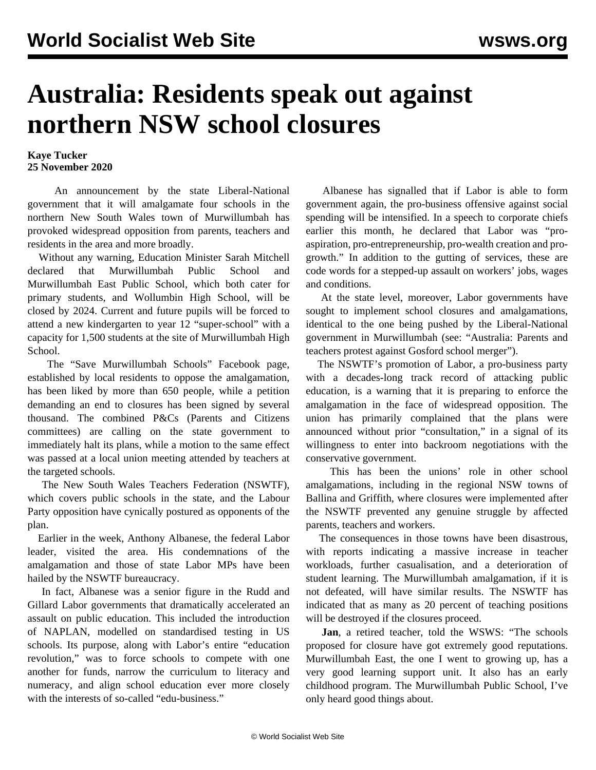## **Australia: Residents speak out against northern NSW school closures**

## **Kaye Tucker 25 November 2020**

 An announcement by the state Liberal-National government that it will amalgamate four schools in the northern New South Wales town of Murwillumbah has provoked widespread opposition from parents, teachers and residents in the area and more broadly.

 Without any warning, Education Minister Sarah Mitchell declared that Murwillumbah Public School and Murwillumbah East Public School, which both cater for primary students, and Wollumbin High School, will be closed by 2024. Current and future pupils will be forced to attend a new kindergarten to year 12 "super-school" with a capacity for 1,500 students at the site of Murwillumbah High School.

 The "Save Murwillumbah Schools" Facebook page, established by local residents to oppose the amalgamation, has been liked by more than 650 people, while a petition demanding an end to closures has been signed by several thousand. The combined P&Cs (Parents and Citizens committees) are calling on the state government to immediately halt its plans, while a motion to the same effect was passed at a local union meeting attended by teachers at the targeted schools.

 The New South Wales Teachers Federation (NSWTF), which covers public schools in the state, and the Labour Party opposition have cynically postured as opponents of the plan.

 Earlier in the week, Anthony Albanese, the federal Labor leader, visited the area. His condemnations of the amalgamation and those of state Labor MPs have been hailed by the NSWTF bureaucracy.

 In fact, Albanese was a senior figure in the Rudd and Gillard Labor governments that dramatically accelerated an assault on public education. This included the introduction of NAPLAN, modelled on standardised testing in US schools. Its purpose, along with Labor's entire "education revolution," was to force schools to compete with one another for funds, narrow the curriculum to literacy and numeracy, and align school education ever more closely with the interests of so-called "edu-business."

 Albanese has signalled that if Labor is able to form government again, the pro-business offensive against social spending will be intensified. In a [speech to corporate chiefs](/en/articles/2020/11/23/labo-n23.html) earlier this month, he declared that Labor was "proaspiration, pro-entrepreneurship, pro-wealth creation and progrowth." In addition to the gutting of services, these are code words for a stepped-up assault on workers' jobs, wages and conditions.

 At the state level, moreover, Labor governments have sought to implement school closures and amalgamations, identical to the one being pushed by the Liberal-National government in Murwillumbah (see: "[Australia: Parents and](/en/articles/2012/04/educ-a07.html) [teachers protest against Gosford school merger](/en/articles/2012/04/educ-a07.html)").

 The NSWTF's promotion of Labor, a pro-business party with a decades-long track record of attacking public education, is a warning that it is preparing to enforce the amalgamation in the face of widespread opposition. The union has primarily complained that the plans were announced without prior "consultation," in a signal of its willingness to enter into backroom negotiations with the conservative government.

 This has been the unions' role in other school amalgamations, including in the regional NSW towns of Ballina and Griffith, where closures were implemented after the NSWTF prevented any genuine struggle by affected parents, teachers and workers.

 The consequences in those towns have been disastrous, with reports indicating a massive increase in teacher workloads, further casualisation, and a deterioration of student learning. The Murwillumbah amalgamation, if it is not defeated, will have similar results. The NSWTF has indicated that as many as 20 percent of teaching positions will be destroyed if the closures proceed.

 **Jan**, a retired teacher, told the WSWS: "The schools proposed for closure have got extremely good reputations. Murwillumbah East, the one I went to growing up, has a very good learning support unit. It also has an early childhood program. The Murwillumbah Public School, I've only heard good things about.